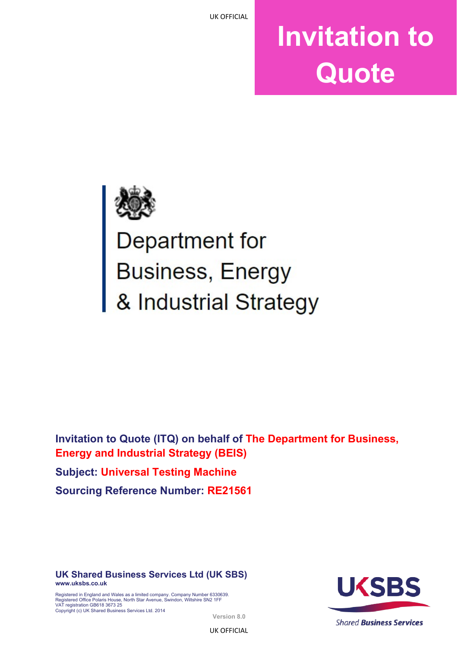# **Invitation to Quote**



Department for **Business, Energy** & Industrial Strategy

**Invitation to Quote (ITQ) on behalf of The Department for Business, Energy and Industrial Strategy (BEIS) Subject: Universal Testing Machine Sourcing Reference Number: RE21561**

**UK Shared Business Services Ltd (UK SBS) [www.uksbs.co.uk](http://www.uksbs.co.uk/)**

Registered in England and Wales as a limited company. Company Number 6330639. Registered Office Polaris House, North Star Avenue, Swindon, Wiltshire SN2 1FF VAT registration GB618 3673 25 Copyright (c) UK Shared Business Services Ltd. 2014



**Version 8.0**

UK OFFICIAL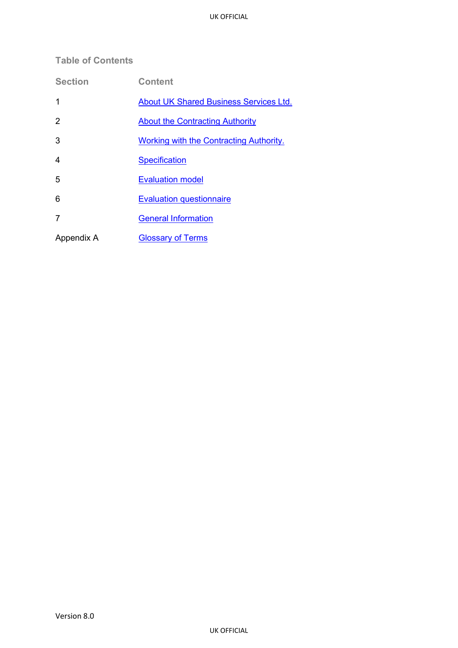# <span id="page-1-0"></span>**Table of Contents**

| <b>Section</b> | <b>Content</b>                                 |
|----------------|------------------------------------------------|
| 1              | <b>About UK Shared Business Services Ltd.</b>  |
| 2              | <b>About the Contracting Authority</b>         |
| 3              | <b>Working with the Contracting Authority.</b> |
| 4              | <b>Specification</b>                           |
| 5              | <b>Evaluation model</b>                        |
| 6              | <b>Evaluation questionnaire</b>                |
| 7              | <b>General Information</b>                     |
| Appendix A     | <b>Glossary of Terms</b>                       |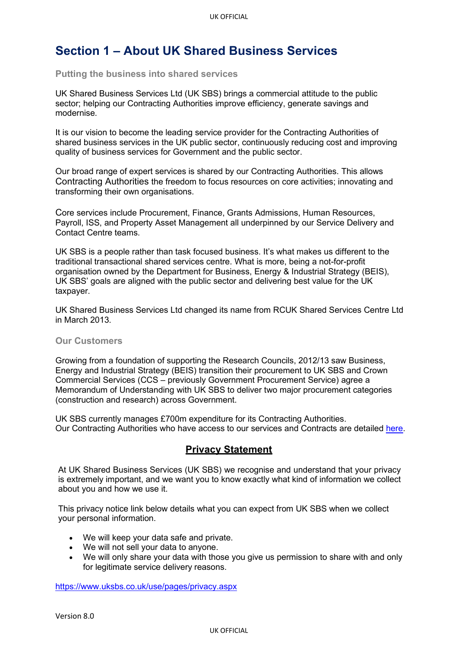# **Section 1 – About UK Shared Business Services**

#### **Putting the business into shared services**

UK Shared Business Services Ltd (UK SBS) brings a commercial attitude to the public sector; helping our Contracting Authorities improve efficiency, generate savings and modernise.

It is our vision to become the leading service provider for the Contracting Authorities of shared business services in the UK public sector, continuously reducing cost and improving quality of business services for Government and the public sector.

Our broad range of expert services is shared by our Contracting Authorities. This allows Contracting Authorities the freedom to focus resources on core activities; innovating and transforming their own organisations.

Core services include Procurement, Finance, Grants Admissions, Human Resources, Payroll, ISS, and Property Asset Management all underpinned by our Service Delivery and Contact Centre teams.

UK SBS is a people rather than task focused business. It's what makes us different to the traditional transactional shared services centre. What is more, being a not-for-profit organisation owned by the Department for Business, Energy & Industrial Strategy (BEIS), UK SBS' goals are aligned with the public sector and delivering best value for the UK taxpayer.

UK Shared Business Services Ltd changed its name from RCUK Shared Services Centre Ltd in March 2013.

#### **Our Customers**

Growing from a foundation of supporting the Research Councils, 2012/13 saw Business, Energy and Industrial Strategy (BEIS) transition their procurement to UK SBS and Crown Commercial Services (CCS – previously Government Procurement Service) agree a Memorandum of Understanding with UK SBS to deliver two major procurement categories (construction and research) across Government.

UK SBS currently manages £700m expenditure for its Contracting Authorities. Our Contracting Authorities who have access to our services and Contracts are detailed [here.](http://www.uksbs.co.uk/services/procure/contracts/Pages/default.aspx)

# **Privacy Statement**

At UK Shared Business Services (UK SBS) we recognise and understand that your privacy is extremely important, and we want you to know exactly what kind of information we collect about you and how we use it.

This privacy notice link below details what you can expect from UK SBS when we collect your personal information.

- We will keep your data safe and private.
- We will not sell your data to anyone.
- We will only share your data with those you give us permission to share with and only for legitimate service delivery reasons.

<https://www.uksbs.co.uk/use/pages/privacy.aspx>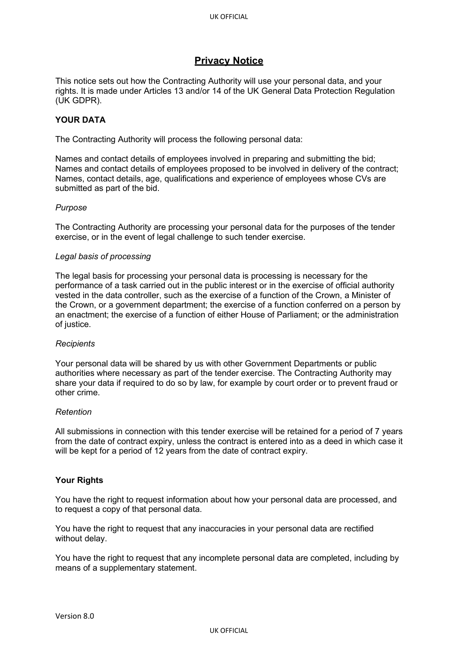# **Privacy Notice**

This notice sets out how the Contracting Authority will use your personal data, and your rights. It is made under Articles 13 and/or 14 of the UK General Data Protection Regulation (UK GDPR).

## **YOUR DATA**

The Contracting Authority will process the following personal data:

Names and contact details of employees involved in preparing and submitting the bid; Names and contact details of employees proposed to be involved in delivery of the contract; Names, contact details, age, qualifications and experience of employees whose CVs are submitted as part of the bid.

#### *Purpose*

The Contracting Authority are processing your personal data for the purposes of the tender exercise, or in the event of legal challenge to such tender exercise.

#### *Legal basis of processing*

The legal basis for processing your personal data is processing is necessary for the performance of a task carried out in the public interest or in the exercise of official authority vested in the data controller, such as the exercise of a function of the Crown, a Minister of the Crown, or a government department; the exercise of a function conferred on a person by an enactment; the exercise of a function of either House of Parliament; or the administration of justice.

#### *Recipients*

Your personal data will be shared by us with other Government Departments or public authorities where necessary as part of the tender exercise. The Contracting Authority may share your data if required to do so by law, for example by court order or to prevent fraud or other crime.

#### *Retention*

All submissions in connection with this tender exercise will be retained for a period of 7 years from the date of contract expiry, unless the contract is entered into as a deed in which case it will be kept for a period of 12 years from the date of contract expiry.

#### **Your Rights**

You have the right to request information about how your personal data are processed, and to request a copy of that personal data.

You have the right to request that any inaccuracies in your personal data are rectified without delay.

You have the right to request that any incomplete personal data are completed, including by means of a supplementary statement.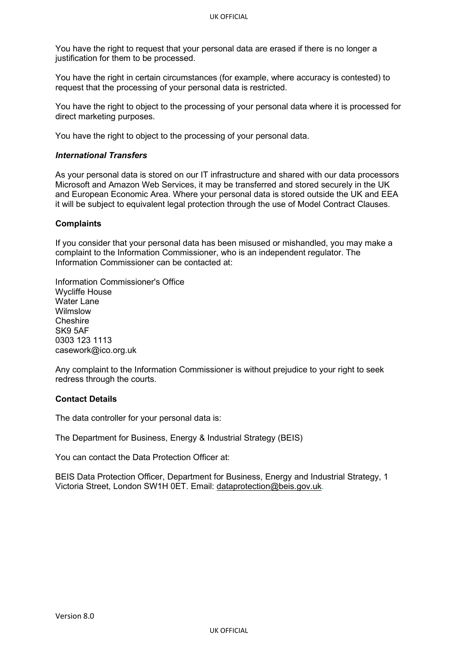<span id="page-4-0"></span>You have the right to request that your personal data are erased if there is no longer a justification for them to be processed.

You have the right in certain circumstances (for example, where accuracy is contested) to request that the processing of your personal data is restricted.

You have the right to object to the processing of your personal data where it is processed for direct marketing purposes.

You have the right to object to the processing of your personal data.

#### *International Transfers*

As your personal data is stored on our IT infrastructure and shared with our data processors Microsoft and Amazon Web Services, it may be transferred and stored securely in the UK and European Economic Area. Where your personal data is stored outside the UK and EEA it will be subject to equivalent legal protection through the use of Model Contract Clauses.

#### **Complaints**

If you consider that your personal data has been misused or mishandled, you may make a complaint to the Information Commissioner, who is an independent regulator. The Information Commissioner can be contacted at:

Information Commissioner's Office Wycliffe House Water Lane Wilmslow Cheshire SK9 5AF 0303 123 1113 [casework@ico.org.uk](mailto:casework@ico.org.uk)

Any complaint to the Information Commissioner is without prejudice to your right to seek redress through the courts.

#### **Contact Details**

The data controller for your personal data is:

The Department for Business, Energy & Industrial Strategy (BEIS)

You can contact the Data Protection Officer at:

BEIS Data Protection Officer, Department for Business, Energy and Industrial Strategy, 1 Victoria Street, London SW1H 0ET. Email: [dataprotection@beis.gov.uk.](mailto:dataprotection@beis.gov.uk)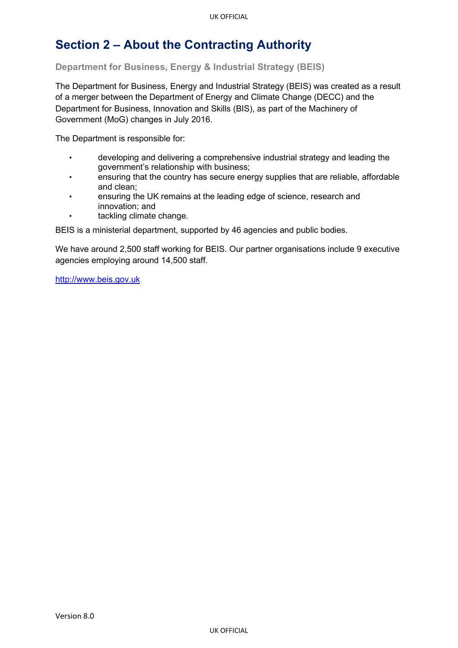# **Section 2 – About the Contracting Authority**

**Department for Business, Energy & Industrial Strategy (BEIS)**

The Department for Business, Energy and Industrial Strategy (BEIS) was created as a result of a merger between the Department of Energy and Climate Change (DECC) and the Department for Business, Innovation and Skills (BIS), as part of the Machinery of Government (MoG) changes in July 2016.

The Department is responsible for:

- developing and delivering a comprehensive industrial strategy and leading the government's relationship with business;
- ensuring that the country has secure energy supplies that are reliable, affordable and clean;
- ensuring the UK remains at the leading edge of science, research and innovation; and
- tackling climate change.

BEIS is a ministerial department, supported by 46 agencies and public bodies.

We have around 2,500 staff working for BEIS. Our partner organisations include 9 executive agencies employing around 14,500 staff.

[http://www.beis.gov.uk](http://www.beis.gov.uk/)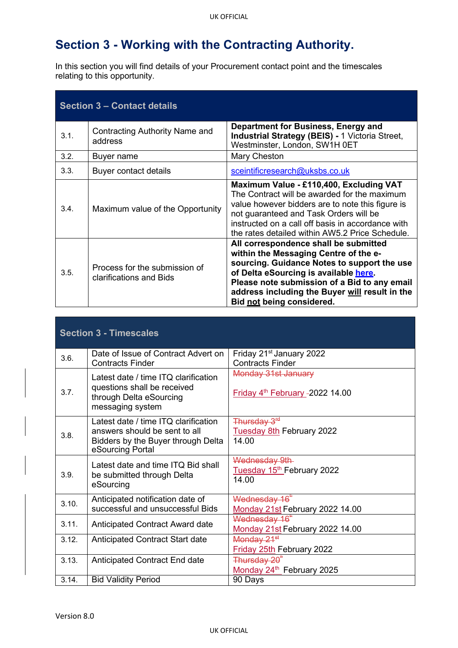# <span id="page-6-0"></span>**Section 3 - Working with the Contracting Authority.**

In this section you will find details of your Procurement contact point and the timescales relating to this opportunity.

| <b>Section 3 – Contact details</b> |                                                          |                                                                                                                                                                                                                                                                                                       |  |
|------------------------------------|----------------------------------------------------------|-------------------------------------------------------------------------------------------------------------------------------------------------------------------------------------------------------------------------------------------------------------------------------------------------------|--|
| 3.1.                               | Contracting Authority Name and<br>address                | Department for Business, Energy and<br><b>Industrial Strategy (BEIS) - 1 Victoria Street,</b><br>Westminster, London, SW1H 0ET                                                                                                                                                                        |  |
| 3.2.                               | Buyer name                                               | Mary Cheston                                                                                                                                                                                                                                                                                          |  |
| 3.3.                               | Buyer contact details                                    | sceintificresearch@uksbs.co.uk                                                                                                                                                                                                                                                                        |  |
| 3.4.                               | Maximum value of the Opportunity                         | Maximum Value - £110,400, Excluding VAT<br>The Contract will be awarded for the maximum<br>value however bidders are to note this figure is<br>not guaranteed and Task Orders will be<br>instructed on a call off basis in accordance with<br>the rates detailed within AW5.2 Price Schedule.         |  |
| 3.5.                               | Process for the submission of<br>clarifications and Bids | All correspondence shall be submitted<br>within the Messaging Centre of the e-<br>sourcing. Guidance Notes to support the use<br>of Delta eSourcing is available here.<br>Please note submission of a Bid to any email<br>address including the Buyer will result in the<br>Bid not being considered. |  |

| <b>Section 3 - Timescales</b> |                                                                                                                                 |                                                                       |  |
|-------------------------------|---------------------------------------------------------------------------------------------------------------------------------|-----------------------------------------------------------------------|--|
| 3.6.                          | Date of Issue of Contract Advert on<br><b>Contracts Finder</b>                                                                  | Friday 21 <sup>st</sup> January 2022<br><b>Contracts Finder</b>       |  |
| 3.7.                          | Latest date / time ITQ clarification<br>questions shall be received<br>through Delta eSourcing<br>messaging system              | Monday 31st January<br>Friday 4 <sup>th</sup> February -2022 14.00    |  |
| 3.8.                          | Latest date / time ITQ clarification<br>answers should be sent to all<br>Bidders by the Buyer through Delta<br>eSourcing Portal | Thursday 3 <sup>rd</sup><br><b>Tuesday 8th February 2022</b><br>14.00 |  |
| 3.9.                          | Latest date and time ITO Bid shall<br>be submitted through Delta<br>eSourcing                                                   | Wednesday 9th<br>Tuesday 15 <sup>th</sup> February 2022<br>14.00      |  |
| 3.10.                         | Anticipated notification date of<br>successful and unsuccessful Bids                                                            | Wednesday 16 <sup>"</sup><br>Monday 21st February 2022 14.00          |  |
| 3.11.                         | Anticipated Contract Award date                                                                                                 | Wednesday 16 <sup>*</sup><br>Monday 21st February 2022 14.00          |  |
| 3.12.                         | Anticipated Contract Start date                                                                                                 | Monday 21 <sup>st</sup><br><b>Friday 25th February 2022</b>           |  |
| 3.13.                         | Anticipated Contract End date                                                                                                   | Thursday 20 <sup>"</sup><br>Monday 24th February 2025                 |  |
| 3.14.                         | <b>Bid Validity Period</b>                                                                                                      | 90 Days                                                               |  |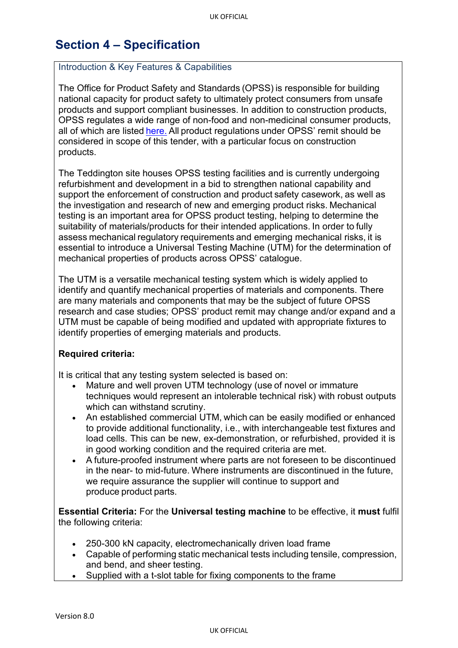# <span id="page-7-0"></span>**Section 4 – Specification**

## Introduction & Key Features & Capabilities

The Office for Product Safety and Standards (OPSS) is responsible for building national capacity for product safety to ultimately protect consumers from unsafe products and support compliant businesses. In addition to construction products, OPSS regulates a wide range of non-food and non-medicinal consumer products, all of which are listed [here.](https://www.gov.uk/guidance/product-safety-for-businesses-a-to-z-of-industry-guidance) All product regulations under OPSS' remit should be considered in scope of this tender, with a particular focus on construction products.

The Teddington site houses OPSS testing facilities and is currently undergoing refurbishment and development in a bid to strengthen national capability and support the enforcement of construction and product safety casework, as well as the investigation and research of new and emerging product risks. Mechanical testing is an important area for OPSS product testing, helping to determine the suitability of materials/products for their intended applications. In order to fully assess mechanical regulatory requirements and emerging mechanical risks, it is essential to introduce a Universal Testing Machine (UTM) for the determination of mechanical properties of products across OPSS' catalogue.

The UTM is a versatile mechanical testing system which is widely applied to identify and quantify mechanical properties of materials and components. There are many materials and components that may be the subject of future OPSS research and case studies; OPSS' product remit may change and/or expand and a UTM must be capable of being modified and updated with appropriate fixtures to identify properties of emerging materials and products.

## **Required criteria:**

It is critical that any testing system selected is based on:  

- Mature and well proven UTM technology (use of novel or immature techniques would represent an intolerable technical risk) with robust outputs which can withstand scrutiny.
- An established commercial UTM, which can be easily modified or enhanced to provide additional functionality, i.e., with interchangeable test fixtures and load cells. This can be new, ex-demonstration, or refurbished, provided it is in good working condition and the required criteria are met.
- A future-proofed instrument where parts are not foreseen to be discontinued in the near- to mid-future. Where instruments are discontinued in the future, we require assurance the supplier will continue to support and produce product parts.

**Essential Criteria:** For the **Universal testing machine** to be effective, it **must** fulfil the following criteria:

- 250-300 kN capacity, electromechanically driven load frame
- Capable of performing static mechanical tests including tensile, compression, and bend, and sheer testing.
- Supplied with a t-slot table for fixing components to the frame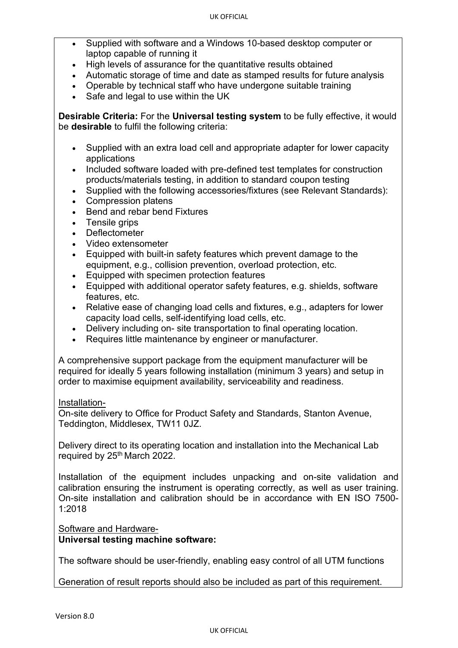- Supplied with software and a Windows 10-based desktop computer or laptop capable of running it
- High levels of assurance for the quantitative results obtained
- Automatic storage of time and date as stamped results for future analysis
- Operable by technical staff who have undergone suitable training
- Safe and legal to use within the UK

**Desirable Criteria:** For the **Universal testing system** to be fully effective, it would be **desirable** to fulfil the following criteria:

- Supplied with an extra load cell and appropriate adapter for lower capacity applications
- Included software loaded with pre-defined test templates for construction products/materials testing, in addition to standard coupon testing
- Supplied with the following accessories/fixtures (see Relevant Standards):
- Compression platens
- Bend and rebar bend Fixtures
- Tensile grips
- **Deflectometer**
- Video extensometer
- Equipped with built-in safety features which prevent damage to the equipment, e.g., collision prevention, overload protection, etc.
- Equipped with specimen protection features
- Equipped with additional operator safety features, e.g. shields, software features, etc.
- Relative ease of changing load cells and fixtures, e.g., adapters for lower capacity load cells, self-identifying load cells, etc.
- Delivery including on- site transportation to final operating location.
- Requires little maintenance by engineer or manufacturer.

A comprehensive support package from the equipment manufacturer will be required for ideally 5 years following installation (minimum 3 years) and setup in order to maximise equipment availability, serviceability and readiness.

# Installation-

On-site delivery to Office for Product Safety and Standards, Stanton Avenue, Teddington, Middlesex, TW11 0JZ.

Delivery direct to its operating location and installation into the Mechanical Lab required by 25<sup>th</sup> March 2022.

Installation of the equipment includes unpacking and on-site validation and calibration ensuring the instrument is operating correctly, as well as user training. On-site installation and calibration should be in accordance with EN ISO 7500- 1:2018

# Software and Hardware-**Universal testing machine software:**

The software should be user-friendly, enabling easy control of all UTM functions

Generation of result reports should also be included as part of this requirement.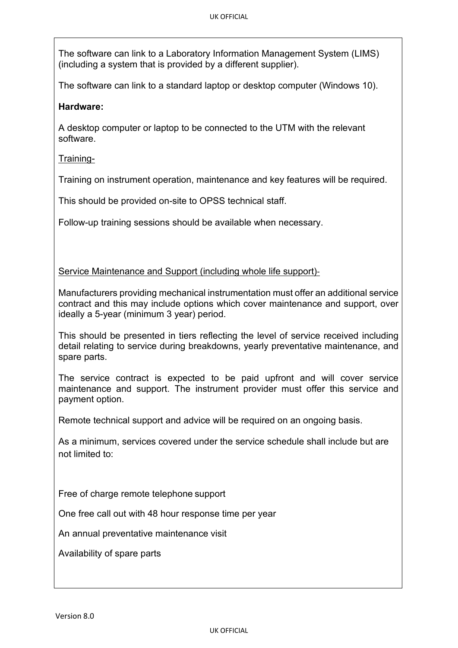The software can link to a Laboratory Information Management System (LIMS) (including a system that is provided by a different supplier).

The software can link to a standard laptop or desktop computer (Windows 10).

# **Hardware:**

A desktop computer or laptop to be connected to the UTM with the relevant software.

Training-

Training on instrument operation, maintenance and key features will be required.

This should be provided on-site to OPSS technical staff.

Follow-up training sessions should be available when necessary.

Service Maintenance and Support (including whole life support)-

Manufacturers providing mechanical instrumentation must offer an additional service contract and this may include options which cover maintenance and support, over ideally a 5-year (minimum 3 year) period.

This should be presented in tiers reflecting the level of service received including detail relating to service during breakdowns, yearly preventative maintenance, and spare parts.

The service contract is expected to be paid upfront and will cover service maintenance and support. The instrument provider must offer this service and payment option.

Remote technical support and advice will be required on an ongoing basis.

As a minimum, services covered under the service schedule shall include but are not limited to:

Free of charge remote telephone support

One free call out with 48 hour response time per year

An annual preventative maintenance visit

Availability of spare parts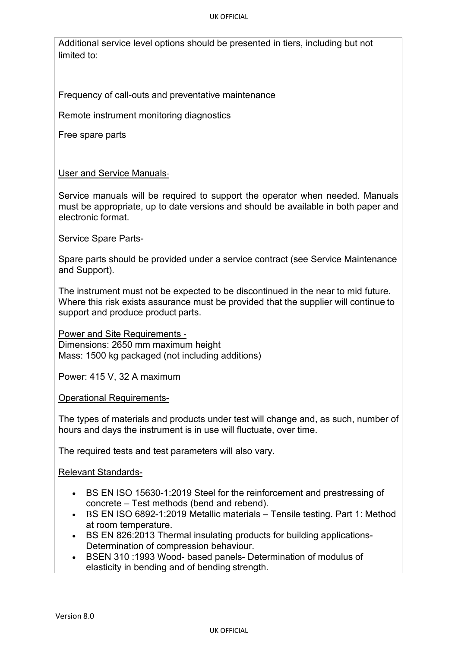#### UK OFFICIAL

Additional service level options should be presented in tiers, including but not limited to:

Frequency of call-outs and preventative maintenance

Remote instrument monitoring diagnostics

Free spare parts

# User and Service Manuals-

Service manuals will be required to support the operator when needed. Manuals must be appropriate, up to date versions and should be available in both paper and electronic format.

# Service Spare Parts-

Spare parts should be provided under a service contract (see Service Maintenance and Support).

The instrument must not be expected to be discontinued in the near to mid future. Where this risk exists assurance must be provided that the supplier will continue to support and produce product parts. 

Power and Site Requirements - Dimensions: 2650 mm maximum height Mass: 1500 kg packaged (not including additions)

Power: 415 V, 32 A maximum

Operational Requirements-

The types of materials and products under test will change and, as such, number of hours and days the instrument is in use will fluctuate, over time.

The required tests and test parameters will also vary.

Relevant Standards-

- BS EN ISO 15630-1:2019 Steel for the reinforcement and prestressing of concrete – Test methods (bend and rebend).
- BS EN ISO 6892-1:2019 Metallic materials Tensile testing. Part 1: Method at room temperature.
- BS EN 826:2013 Thermal insulating products for building applications-Determination of compression behaviour.
- BSEN 310 :1993 Wood- based panels- Determination of modulus of elasticity in bending and of bending strength.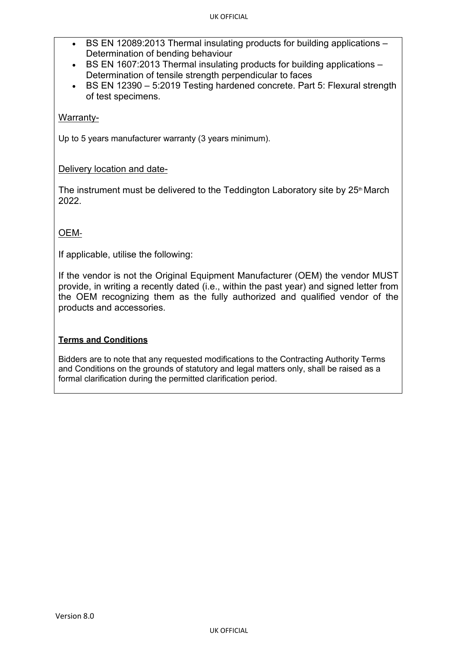- BS EN 12089:2013 Thermal insulating products for building applications Determination of bending behaviour
- BS EN 1607:2013 Thermal insulating products for building applications Determination of tensile strength perpendicular to faces
- BS EN 12390 5:2019 Testing hardened concrete. Part 5: Flexural strength of test specimens.

# Warranty-

Up to 5 years manufacturer warranty (3 years minimum).

# Delivery location and date-

The instrument must be delivered to the Teddington Laboratory site by  $25<sup>th</sup>$  March 2022.

# OEM-

If applicable, utilise the following:

If the vendor is not the Original Equipment Manufacturer (OEM) the vendor MUST provide, in writing a recently dated (i.e., within the past year) and signed letter from the OEM recognizing them as the fully authorized and qualified vendor of the products and accessories.

# **Terms and Conditions**

Bidders are to note that any requested modifications to the Contracting Authority Terms and Conditions on the grounds of statutory and legal matters only, shall be raised as a formal clarification during the permitted clarification period.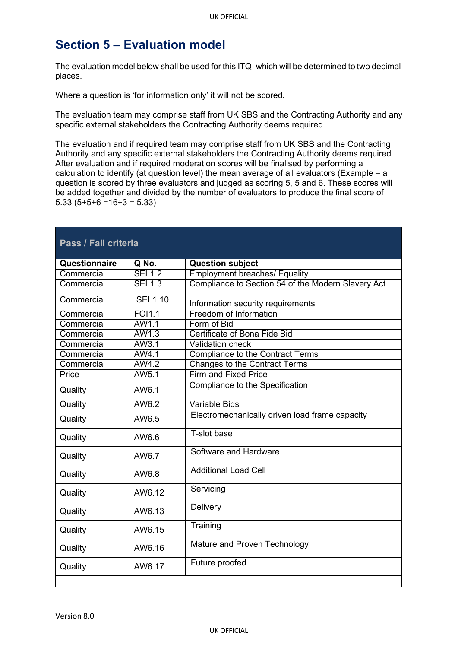# **Section 5 – Evaluation model**

The evaluation model below shall be used for this ITQ, which will be determined to two decimal places.

Where a question is 'for information only' it will not be scored.

The evaluation team may comprise staff from UK SBS and the Contracting Authority and any specific external stakeholders the Contracting Authority deems required.

The evaluation and if required team may comprise staff from UK SBS and the Contracting Authority and any specific external stakeholders the Contracting Authority deems required. After evaluation and if required moderation scores will be finalised by performing a calculation to identify (at question level) the mean average of all evaluators (Example – a question is scored by three evaluators and judged as scoring 5, 5 and 6. These scores will be added together and divided by the number of evaluators to produce the final score of  $5.33$  ( $5+5+6 = 16 \div 3 = 5.33$ )

| Pass / Fail criteria |                |                                                    |  |
|----------------------|----------------|----------------------------------------------------|--|
| Questionnaire        | Q No.          | <b>Question subject</b>                            |  |
| Commercial           | <b>SEL1.2</b>  | <b>Employment breaches/ Equality</b>               |  |
| Commercial           | <b>SEL1.3</b>  | Compliance to Section 54 of the Modern Slavery Act |  |
| Commercial           | <b>SEL1.10</b> | Information security requirements                  |  |
| Commercial           | <b>FOI1.1</b>  | Freedom of Information                             |  |
| Commercial           | AW1.1          | Form of Bid                                        |  |
| Commercial           | AW1.3          | Certificate of Bona Fide Bid                       |  |
| Commercial           | AW3.1          | <b>Validation check</b>                            |  |
| Commercial           | AW4.1          | <b>Compliance to the Contract Terms</b>            |  |
| Commercial           | AW4.2          | <b>Changes to the Contract Terms</b>               |  |
| Price                | AW5.1          | <b>Firm and Fixed Price</b>                        |  |
| Quality              | AW6.1          | Compliance to the Specification                    |  |
| Quality              | AW6.2          | <b>Variable Bids</b>                               |  |
| Quality              | AW6.5          | Electromechanically driven load frame capacity     |  |
| Quality              | AW6.6          | T-slot base                                        |  |
| Quality              | AW6.7          | Software and Hardware                              |  |
| Quality              | AW6.8          | <b>Additional Load Cell</b>                        |  |
| Quality              | AW6.12         | Servicing                                          |  |
| Quality              | AW6.13         | Delivery                                           |  |
| Quality              | AW6.15         | Training                                           |  |
| Quality              | AW6.16         | Mature and Proven Technology                       |  |
| Quality              | AW6.17         | Future proofed                                     |  |
|                      |                |                                                    |  |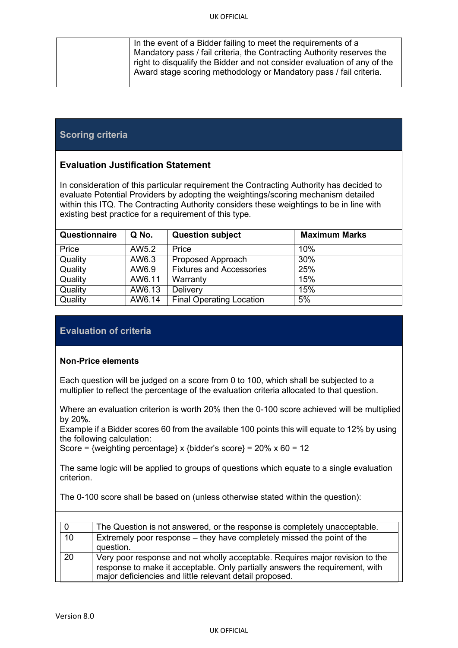| In the event of a Bidder failing to meet the requirements of a           |  |
|--------------------------------------------------------------------------|--|
| Mandatory pass / fail criteria, the Contracting Authority reserves the   |  |
| right to disqualify the Bidder and not consider evaluation of any of the |  |
| Award stage scoring methodology or Mandatory pass / fail criteria.       |  |
|                                                                          |  |

# **Scoring criteria**

# **Evaluation Justification Statement**

In consideration of this particular requirement the Contracting Authority has decided to evaluate Potential Providers by adopting the weightings/scoring mechanism detailed within this ITQ. The Contracting Authority considers these weightings to be in line with existing best practice for a requirement of this type.

| Questionnaire | Q No.  | <b>Question subject</b>         | <b>Maximum Marks</b> |
|---------------|--------|---------------------------------|----------------------|
| Price         | AW5.2  | Price                           | 10%                  |
| Quality       | AW6.3  | Proposed Approach               | 30%                  |
| Quality       | AW6.9  | <b>Fixtures and Accessories</b> | 25%                  |
| Quality       | AW6.11 | Warranty                        | 15%                  |
| Quality       | AW6.13 | Delivery                        | 15%                  |
| Quality       | AW6.14 | <b>Final Operating Location</b> | 5%                   |

# **Evaluation of criteria**

#### **Non-Price elements**

Each question will be judged on a score from 0 to 100, which shall be subjected to a multiplier to reflect the percentage of the evaluation criteria allocated to that question.

Where an evaluation criterion is worth 20% then the 0-100 score achieved will be multiplied by 20**%**.

Example if a Bidder scores 60 from the available 100 points this will equate to 12% by using the following calculation:

Score = {weighting percentage} x {bidder's score} =  $20\%$  x 60 = 12

The same logic will be applied to groups of questions which equate to a single evaluation criterion.

The 0-100 score shall be based on (unless otherwise stated within the question):

|    | The Question is not answered, or the response is completely unacceptable.                                                                                                                                               |
|----|-------------------------------------------------------------------------------------------------------------------------------------------------------------------------------------------------------------------------|
| 10 | Extremely poor response – they have completely missed the point of the<br>question.                                                                                                                                     |
| 20 | Very poor response and not wholly acceptable. Requires major revision to the<br>response to make it acceptable. Only partially answers the requirement, with<br>major deficiencies and little relevant detail proposed. |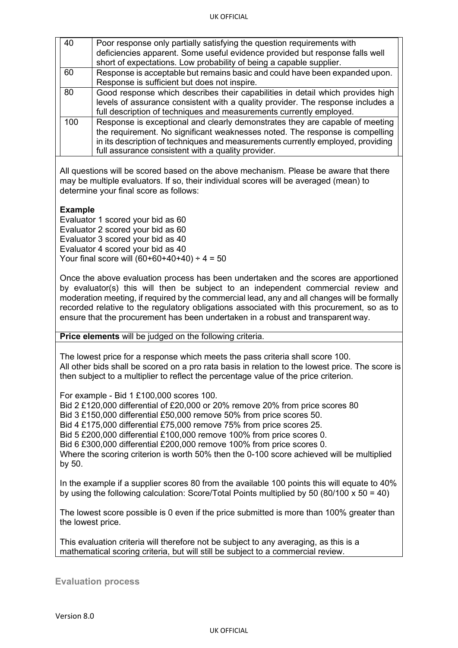| 40  | Poor response only partially satisfying the question requirements with          |
|-----|---------------------------------------------------------------------------------|
|     | deficiencies apparent. Some useful evidence provided but response falls well    |
|     | short of expectations. Low probability of being a capable supplier.             |
| 60  | Response is acceptable but remains basic and could have been expanded upon.     |
|     | Response is sufficient but does not inspire.                                    |
| 80  | Good response which describes their capabilities in detail which provides high  |
|     | levels of assurance consistent with a quality provider. The response includes a |
|     | full description of techniques and measurements currently employed.             |
| 100 | Response is exceptional and clearly demonstrates they are capable of meeting    |
|     | the requirement. No significant weaknesses noted. The response is compelling    |
|     | in its description of techniques and measurements currently employed, providing |
|     | full assurance consistent with a quality provider.                              |

All questions will be scored based on the above mechanism. Please be aware that there may be multiple evaluators. If so, their individual scores will be averaged (mean) to determine your final score as follows:

## **Example**

Evaluator 1 scored your bid as 60 Evaluator 2 scored your bid as 60 Evaluator 3 scored your bid as 40 Evaluator 4 scored your bid as 40 Your final score will  $(60+60+40+40) \div 4 = 50$ 

Once the above evaluation process has been undertaken and the scores are apportioned by evaluator(s) this will then be subject to an independent commercial review and moderation meeting, if required by the commercial lead, any and all changes will be formally recorded relative to the regulatory obligations associated with this procurement, so as to ensure that the procurement has been undertaken in a robust and transparent way.

**Price elements** will be judged on the following criteria.

The lowest price for a response which meets the pass criteria shall score 100. All other bids shall be scored on a pro rata basis in relation to the lowest price. The score is then subject to a multiplier to reflect the percentage value of the price criterion.

For example - Bid 1 £100,000 scores 100.

Bid 2 £120,000 differential of £20,000 or 20% remove 20% from price scores 80

Bid 3 £150,000 differential £50,000 remove 50% from price scores 50.

Bid 4 £175,000 differential £75,000 remove 75% from price scores 25.

Bid 5 £200,000 differential £100,000 remove 100% from price scores 0.

Bid 6 £300,000 differential £200,000 remove 100% from price scores 0.

Where the scoring criterion is worth 50% then the 0-100 score achieved will be multiplied by 50.

In the example if a supplier scores 80 from the available 100 points this will equate to 40% by using the following calculation: Score/Total Points multiplied by 50 (80/100 x 50 = 40)

The lowest score possible is 0 even if the price submitted is more than 100% greater than the lowest price.

This evaluation criteria will therefore not be subject to any averaging, as this is a mathematical scoring criteria, but will still be subject to a commercial review.

**Evaluation process**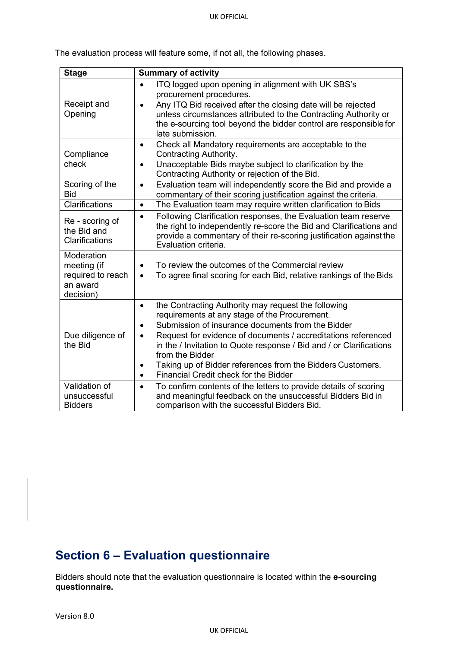| Stage                                                                   | Summary of activity                                                                                                                                                                                                                                                                                                                                                                                                                                                                         |  |  |
|-------------------------------------------------------------------------|---------------------------------------------------------------------------------------------------------------------------------------------------------------------------------------------------------------------------------------------------------------------------------------------------------------------------------------------------------------------------------------------------------------------------------------------------------------------------------------------|--|--|
| Receipt and<br>Opening                                                  | ITQ logged upon opening in alignment with UK SBS's<br>$\bullet$<br>procurement procedures.<br>Any ITQ Bid received after the closing date will be rejected<br>$\bullet$<br>unless circumstances attributed to the Contracting Authority or<br>the e-sourcing tool beyond the bidder control are responsible for<br>late submission.                                                                                                                                                         |  |  |
| Compliance<br>check                                                     | Check all Mandatory requirements are acceptable to the<br>$\bullet$<br>Contracting Authority.<br>Unacceptable Bids maybe subject to clarification by the<br>$\bullet$<br>Contracting Authority or rejection of the Bid.                                                                                                                                                                                                                                                                     |  |  |
| Scoring of the<br><b>Bid</b>                                            | Evaluation team will independently score the Bid and provide a<br>$\bullet$<br>commentary of their scoring justification against the criteria.                                                                                                                                                                                                                                                                                                                                              |  |  |
| Clarifications                                                          | The Evaluation team may require written clarification to Bids<br>$\bullet$                                                                                                                                                                                                                                                                                                                                                                                                                  |  |  |
| Re - scoring of<br>the Bid and<br>Clarifications                        | Following Clarification responses, the Evaluation team reserve<br>$\bullet$<br>the right to independently re-score the Bid and Clarifications and<br>provide a commentary of their re-scoring justification against the<br>Evaluation criteria.                                                                                                                                                                                                                                             |  |  |
| Moderation<br>meeting (if<br>required to reach<br>an award<br>decision) | To review the outcomes of the Commercial review<br>$\bullet$<br>To agree final scoring for each Bid, relative rankings of the Bids<br>$\bullet$                                                                                                                                                                                                                                                                                                                                             |  |  |
| Due diligence of<br>the Bid                                             | the Contracting Authority may request the following<br>$\bullet$<br>requirements at any stage of the Procurement.<br>Submission of insurance documents from the Bidder<br>$\bullet$<br>Request for evidence of documents / accreditations referenced<br>$\bullet$<br>in the / Invitation to Quote response / Bid and / or Clarifications<br>from the Bidder<br>Taking up of Bidder references from the Bidders Customers.<br>٠<br><b>Financial Credit check for the Bidder</b><br>$\bullet$ |  |  |
| Validation of<br>unsuccessful<br><b>Bidders</b>                         | To confirm contents of the letters to provide details of scoring<br>$\bullet$<br>and meaningful feedback on the unsuccessful Bidders Bid in<br>comparison with the successful Bidders Bid.                                                                                                                                                                                                                                                                                                  |  |  |

The evaluation process will feature some, if not all, the following phases.

# <span id="page-15-0"></span>**Section 6 – Evaluation questionnaire**

Bidders should note that the evaluation questionnaire is located within the **e-sourcing questionnaire.**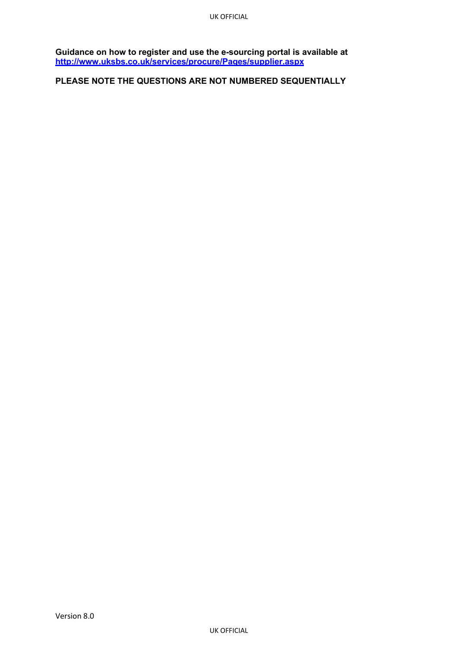**Guidance on how to register and use the e-sourcing portal is available at <http://www.uksbs.co.uk/services/procure/Pages/supplier.aspx>**

**PLEASE NOTE THE QUESTIONS ARE NOT NUMBERED SEQUENTIALLY**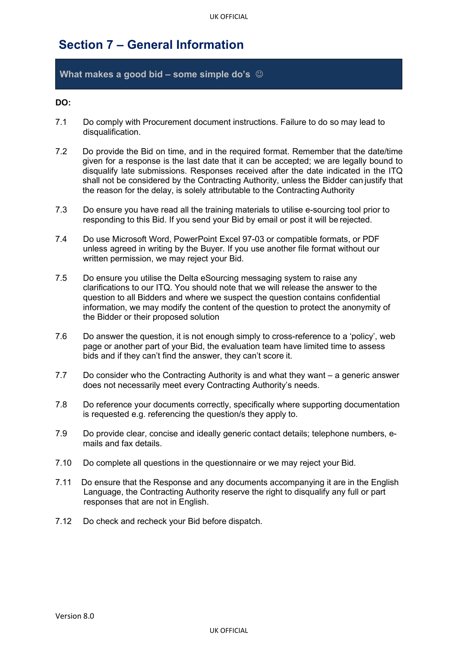# <span id="page-17-0"></span>**Section 7 – General Information**

## **What makes a good bid – some simple do's**

## **DO:**

- 7.1 Do comply with Procurement document instructions. Failure to do so may lead to disqualification.
- 7.2 Do provide the Bid on time, and in the required format. Remember that the date/time given for a response is the last date that it can be accepted; we are legally bound to disqualify late submissions. Responses received after the date indicated in the ITQ shall not be considered by the Contracting Authority, unless the Bidder can justify that the reason for the delay, is solely attributable to the Contracting Authority
- 7.3 Do ensure you have read all the training materials to utilise e-sourcing tool prior to responding to this Bid. If you send your Bid by email or post it will be rejected.
- 7.4 Do use Microsoft Word, PowerPoint Excel 97-03 or compatible formats, or PDF unless agreed in writing by the Buyer. If you use another file format without our written permission, we may reject your Bid.
- 7.5 Do ensure you utilise the Delta eSourcing messaging system to raise any clarifications to our ITQ. You should note that we will release the answer to the question to all Bidders and where we suspect the question contains confidential information, we may modify the content of the question to protect the anonymity of the Bidder or their proposed solution
- 7.6 Do answer the question, it is not enough simply to cross-reference to a 'policy', web page or another part of your Bid, the evaluation team have limited time to assess bids and if they can't find the answer, they can't score it.
- 7.7 Do consider who the Contracting Authority is and what they want a generic answer does not necessarily meet every Contracting Authority's needs.
- 7.8 Do reference your documents correctly, specifically where supporting documentation is requested e.g. referencing the question/s they apply to.
- 7.9 Do provide clear, concise and ideally generic contact details; telephone numbers, emails and fax details.
- 7.10 Do complete all questions in the questionnaire or we may reject your Bid.
- 7.11 Do ensure that the Response and any documents accompanying it are in the English Language, the Contracting Authority reserve the right to disqualify any full or part responses that are not in English.
- 7.12 Do check and recheck your Bid before dispatch.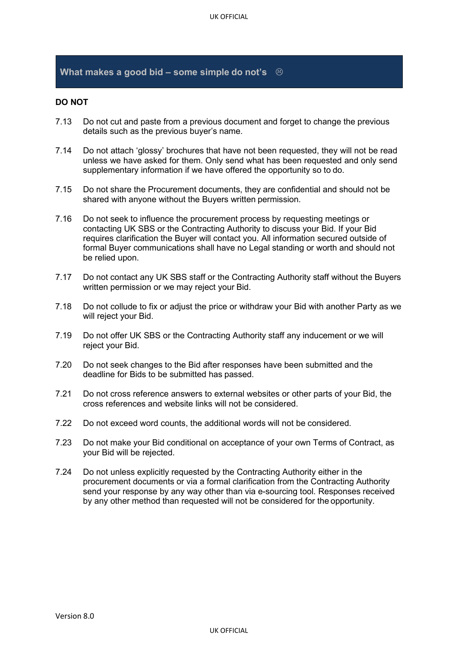## **What makes a good bid – some simple do not's**

## **DO NOT**

- 7.13 Do not cut and paste from a previous document and forget to change the previous details such as the previous buyer's name.
- 7.14 Do not attach 'glossy' brochures that have not been requested, they will not be read unless we have asked for them. Only send what has been requested and only send supplementary information if we have offered the opportunity so to do.
- 7.15 Do not share the Procurement documents, they are confidential and should not be shared with anyone without the Buyers written permission.
- 7.16 Do not seek to influence the procurement process by requesting meetings or contacting UK SBS or the Contracting Authority to discuss your Bid. If your Bid requires clarification the Buyer will contact you. All information secured outside of formal Buyer communications shall have no Legal standing or worth and should not be relied upon.
- 7.17 Do not contact any UK SBS staff or the Contracting Authority staff without the Buyers written permission or we may reject your Bid.
- 7.18 Do not collude to fix or adjust the price or withdraw your Bid with another Party as we will reject your Bid.
- 7.19 Do not offer UK SBS or the Contracting Authority staff any inducement or we will reject your Bid.
- 7.20 Do not seek changes to the Bid after responses have been submitted and the deadline for Bids to be submitted has passed.
- 7.21 Do not cross reference answers to external websites or other parts of your Bid, the cross references and website links will not be considered.
- 7.22 Do not exceed word counts, the additional words will not be considered.
- 7.23 Do not make your Bid conditional on acceptance of your own Terms of Contract, as your Bid will be rejected.
- 7.24 Do not unless explicitly requested by the Contracting Authority either in the procurement documents or via a formal clarification from the Contracting Authority send your response by any way other than via e-sourcing tool. Responses received by any other method than requested will not be considered for the opportunity.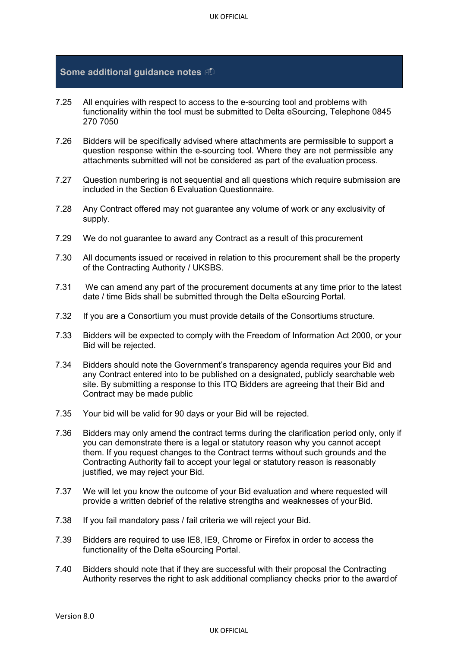## **Some additional guidance notes**

- 7.25 All enquiries with respect to access to the e-sourcing tool and problems with functionality within the tool must be submitted to Delta eSourcing, Telephone 0845 270 7050
- 7.26 Bidders will be specifically advised where attachments are permissible to support a question response within the e-sourcing tool. Where they are not permissible any attachments submitted will not be considered as part of the evaluation process.
- 7.27 Question numbering is not sequential and all questions which require submission are included in the Section 6 Evaluation Questionnaire.
- 7.28 Any Contract offered may not guarantee any volume of work or any exclusivity of supply.
- 7.29 We do not guarantee to award any Contract as a result of this procurement
- 7.30 All documents issued or received in relation to this procurement shall be the property of the Contracting Authority / UKSBS.
- 7.31 We can amend any part of the procurement documents at any time prior to the latest date / time Bids shall be submitted through the Delta eSourcing Portal.
- 7.32 If you are a Consortium you must provide details of the Consortiums structure.
- 7.33 Bidders will be expected to comply with the Freedom of Information Act 2000, or your Bid will be rejected.
- 7.34 Bidders should note the Government's transparency agenda requires your Bid and any Contract entered into to be published on a designated, publicly searchable web site. By submitting a response to this ITQ Bidders are agreeing that their Bid and Contract may be made public
- 7.35 Your bid will be valid for 90 days or your Bid will be rejected.
- 7.36 Bidders may only amend the contract terms during the clarification period only, only if you can demonstrate there is a legal or statutory reason why you cannot accept them. If you request changes to the Contract terms without such grounds and the Contracting Authority fail to accept your legal or statutory reason is reasonably justified, we may reject your Bid.
- 7.37 We will let you know the outcome of your Bid evaluation and where requested will provide a written debrief of the relative strengths and weaknesses of your Bid.
- 7.38 If you fail mandatory pass / fail criteria we will reject your Bid.
- 7.39 Bidders are required to use IE8, IE9, Chrome or Firefox in order to access the functionality of the Delta eSourcing Portal.
- 7.40 Bidders should note that if they are successful with their proposal the Contracting Authority reserves the right to ask additional compliancy checks prior to the awardof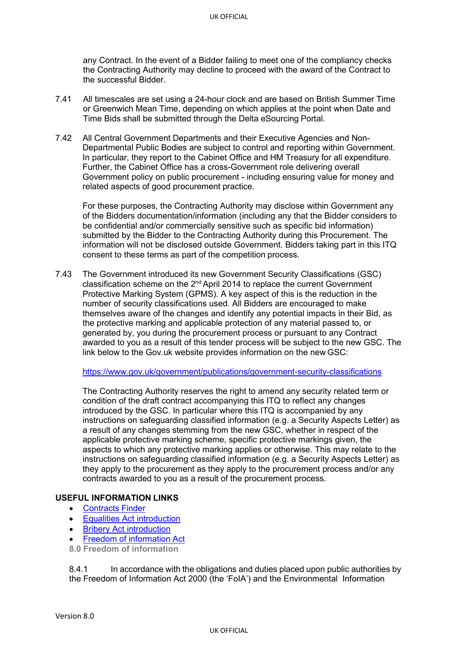any Contract. In the event of a Bidder failing to meet one of the compliancy checks the Contracting Authority may decline to proceed with the award of the Contract to the successful Bidder.

- 7.41 All timescales are set using a 24-hour clock and are based on British Summer Time or Greenwich Mean Time, depending on which applies at the point when Date and Time Bids shall be submitted through the Delta eSourcing Portal.
- 7.42 All Central Government Departments and their Executive Agencies and Non-Departmental Public Bodies are subject to control and reporting within Government. In particular, they report to the Cabinet Office and HM Treasury for all expenditure. Further, the Cabinet Office has a cross-Government role delivering overall Government policy on public procurement - including ensuring value for money and related aspects of good procurement practice.

For these purposes, the Contracting Authority may disclose within Government any of the Bidders documentation/information (including any that the Bidder considers to be confidential and/or commercially sensitive such as specific bid information) submitted by the Bidder to the Contracting Authority during this Procurement. The information will not be disclosed outside Government. Bidders taking part in this ITQ consent to these terms as part of the competition process.

7.43 The Government introduced its new Government Security Classifications (GSC) classification scheme on the 2nd April 2014 to replace the current Government Protective Marking System (GPMS). A key aspect of this is the reduction in the number of security classifications used. All Bidders are encouraged to make themselves aware of the changes and identify any potential impacts in their Bid, as the protective marking and applicable protection of any material passed to, or generated by, you during the procurement process or pursuant to any Contract awarded to you as a result of this tender process will be subject to the new GSC. The link below to the Gov.uk website provides information on the new GSC:

<https://www.gov.uk/government/publications/government-security-classifications>

The Contracting Authority reserves the right to amend any security related term or condition of the draft contract accompanying this ITQ to reflect any changes introduced by the GSC. In particular where this ITQ is accompanied by any instructions on safeguarding classified information (e.g. a Security Aspects Letter) as a result of any changes stemming from the new GSC, whether in respect of the applicable protective marking scheme, specific protective markings given, the aspects to which any protective marking applies or otherwise. This may relate to the instructions on safeguarding classified information (e.g. a Security Aspects Letter) as they apply to the procurement as they apply to the procurement process and/or any contracts awarded to you as a result of the procurement process.

#### **USEFUL INFORMATION LINKS**

- [Contracts](https://online.contractsfinder.businesslink.gov.uk/) Finder
- [Equalities Act](http://www.equalityhumanrights.com/advice-and-guidance/new-equality-act-guidance/equality-act-starter-kit/video-understanding-the-equality-act-2010/) introduction
- Bribery Act [introduction](https://www.gov.uk/government/publications/bribery-act-2010-guidance)
- **[Freedom of information](http://www.ico.org.uk/for_organisations/guidance_index/freedom_of_information_and_environmental_information) Act**
- **8.0 Freedom of information**

8.4.1 In accordance with the obligations and duties placed upon public authorities by the Freedom of Information Act 2000 (the 'FoIA') and the Environmental Information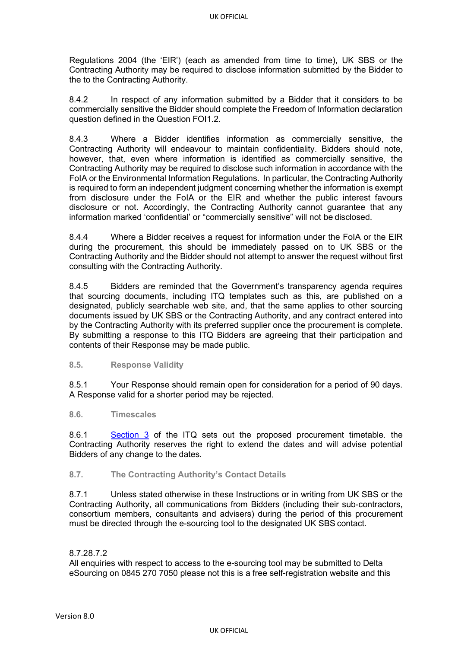Regulations 2004 (the 'EIR') (each as amended from time to time), UK SBS or the Contracting Authority may be required to disclose information submitted by the Bidder to the to the Contracting Authority.

8.4.2 In respect of any information submitted by a Bidder that it considers to be commercially sensitive the Bidder should complete the Freedom of Information declaration question defined in the Question FOI1.2.

8.4.3 Where a Bidder identifies information as commercially sensitive, the Contracting Authority will endeavour to maintain confidentiality. Bidders should note, however, that, even where information is identified as commercially sensitive, the Contracting Authority may be required to disclose such information in accordance with the FoIA or the Environmental Information Regulations. In particular, the Contracting Authority is required to form an independent judgment concerning whether the information is exempt from disclosure under the FoIA or the EIR and whether the public interest favours disclosure or not. Accordingly, the Contracting Authority cannot guarantee that any information marked 'confidential' or "commercially sensitive" will not be disclosed.

8.4.4 Where a Bidder receives a request for information under the FoIA or the EIR during the procurement, this should be immediately passed on to UK SBS or the Contracting Authority and the Bidder should not attempt to answer the request without first consulting with the Contracting Authority.

8.4.5 Bidders are reminded that the Government's transparency agenda requires that sourcing documents, including ITQ templates such as this, are published on a designated, publicly searchable web site, and, that the same applies to other sourcing documents issued by UK SBS or the Contracting Authority, and any contract entered into by the Contracting Authority with its preferred supplier once the procurement is complete. By submitting a response to this ITQ Bidders are agreeing that their participation and contents of their Response may be made public.

#### **8.5. Response Validity**

8.5.1 Your Response should remain open for consideration for a period of 90 days. A Response valid for a shorter period may be rejected.

#### **8.6. Timescales**

8.6.1 [Section 3](#page-6-0) of the ITQ sets out the proposed procurement timetable. the Contracting Authority reserves the right to extend the dates and will advise potential Bidders of any change to the dates.

## **8.7. The Contracting Authority's Contact Details**

8.7.1 Unless stated otherwise in these Instructions or in writing from UK SBS or the Contracting Authority, all communications from Bidders (including their sub-contractors, consortium members, consultants and advisers) during the period of this procurement must be directed through the e-sourcing tool to the designated UK SBS contact.

#### 8.7.28.7.2

All enquiries with respect to access to the e-sourcing tool may be submitted to Delta eSourcing on 0845 270 7050 please not this is a free self-registration website and this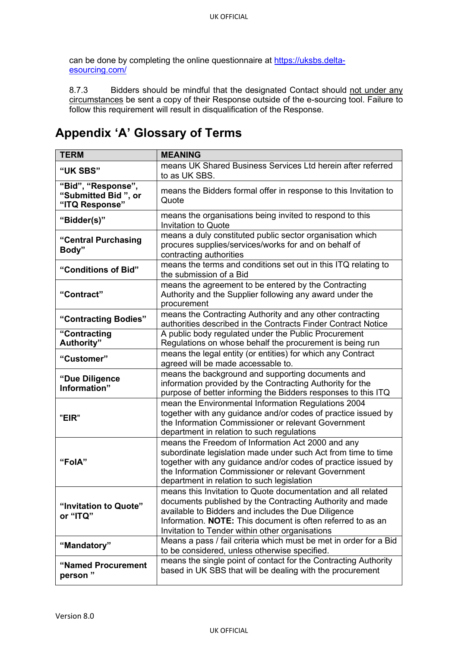can be done by completing the online questionnaire at [https://uksbs.delta](https://uksbs.delta-esourcing.com/)[esourcing.com/](https://uksbs.delta-esourcing.com/)

8.7.3 Bidders should be mindful that the designated Contact should not under any circumstances be sent a copy of their Response outside of the e-sourcing tool. Failure to follow this requirement will result in disqualification of the Response.

# **Appendix 'A' Glossary of Terms**

| <b>TERM</b>                                                 | <b>MEANING</b>                                                                                                                                                                                                                                                                                     |
|-------------------------------------------------------------|----------------------------------------------------------------------------------------------------------------------------------------------------------------------------------------------------------------------------------------------------------------------------------------------------|
| "UK SBS"                                                    | means UK Shared Business Services Ltd herein after referred<br>to as UK SBS.                                                                                                                                                                                                                       |
| "Bid", "Response",<br>"Submitted Bid", or<br>"ITQ Response" | means the Bidders formal offer in response to this Invitation to<br>Quote                                                                                                                                                                                                                          |
| "Bidder(s)"                                                 | means the organisations being invited to respond to this<br><b>Invitation to Quote</b>                                                                                                                                                                                                             |
| "Central Purchasing<br>Body"                                | means a duly constituted public sector organisation which<br>procures supplies/services/works for and on behalf of<br>contracting authorities                                                                                                                                                      |
| "Conditions of Bid"                                         | means the terms and conditions set out in this ITQ relating to<br>the submission of a Bid                                                                                                                                                                                                          |
| "Contract"                                                  | means the agreement to be entered by the Contracting<br>Authority and the Supplier following any award under the<br>procurement                                                                                                                                                                    |
| "Contracting Bodies"                                        | means the Contracting Authority and any other contracting<br>authorities described in the Contracts Finder Contract Notice                                                                                                                                                                         |
| "Contracting<br>Authority"                                  | A public body regulated under the Public Procurement<br>Regulations on whose behalf the procurement is being run                                                                                                                                                                                   |
| "Customer"                                                  | means the legal entity (or entities) for which any Contract<br>agreed will be made accessable to.                                                                                                                                                                                                  |
| "Due Diligence<br>Information"                              | means the background and supporting documents and<br>information provided by the Contracting Authority for the<br>purpose of better informing the Bidders responses to this ITQ                                                                                                                    |
| "EIR"                                                       | mean the Environmental Information Regulations 2004<br>together with any guidance and/or codes of practice issued by<br>the Information Commissioner or relevant Government<br>department in relation to such regulations                                                                          |
| "FolA"                                                      | means the Freedom of Information Act 2000 and any<br>subordinate legislation made under such Act from time to time<br>together with any guidance and/or codes of practice issued by<br>the Information Commissioner or relevant Government<br>department in relation to such legislation           |
| "Invitation to Quote"<br>or "ITQ"                           | means this Invitation to Quote documentation and all related<br>documents published by the Contracting Authority and made<br>available to Bidders and includes the Due Diligence<br>Information. NOTE: This document is often referred to as an<br>Invitation to Tender within other organisations |
| "Mandatory"                                                 | Means a pass / fail criteria which must be met in order for a Bid<br>to be considered, unless otherwise specified.                                                                                                                                                                                 |
| "Named Procurement<br>person"                               | means the single point of contact for the Contracting Authority<br>based in UK SBS that will be dealing with the procurement                                                                                                                                                                       |